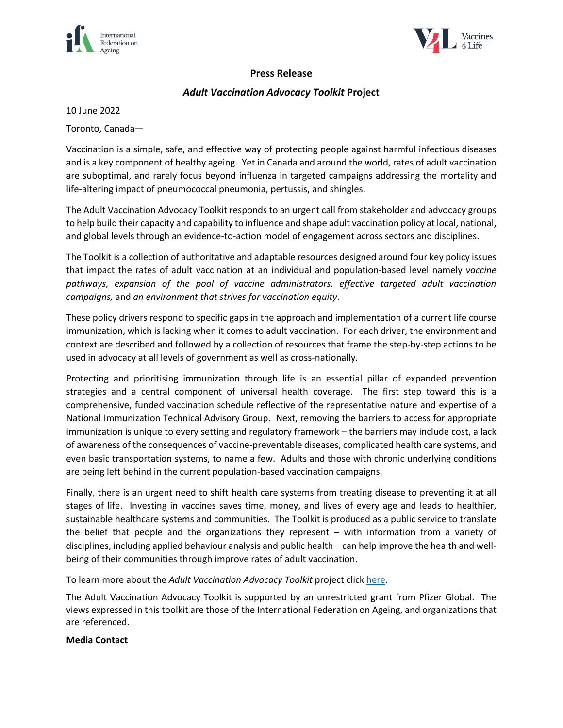



## **Press Release**

## *Adult Vaccination Advocacy Toolkit* **Project**

10 June 2022

Toronto, Canada—

Vaccination is a simple, safe, and effective way of protecting people against harmful infectious diseases and is a key component of healthy ageing. Yet in Canada and around the world, rates of adult vaccination are suboptimal, and rarely focus beyond influenza in targeted campaigns addressing the mortality and life-altering impact of pneumococcal pneumonia, pertussis, and shingles.

The Adult Vaccination Advocacy Toolkit responds to an urgent call from stakeholder and advocacy groups to help build their capacity and capability to influence and shape adult vaccination policy at local, national, and global levels through an evidence-to-action model of engagement across sectors and disciplines.

The Toolkit is a collection of authoritative and adaptable resources designed around four key policy issues that impact the rates of adult vaccination at an individual and population-based level namely *vaccine pathways, expansion of the pool of vaccine administrators, effective targeted adult vaccination campaigns,* and *an environment that strives for vaccination equity*.

These policy drivers respond to specific gaps in the approach and implementation of a current life course immunization, which is lacking when it comes to adult vaccination. For each driver, the environment and context are described and followed by a collection of resources that frame the step-by-step actions to be used in advocacy at all levels of government as well as cross-nationally.

Protecting and prioritising immunization through life is an essential pillar of expanded prevention strategies and a central component of universal health coverage. The first step toward this is a comprehensive, funded vaccination schedule reflective of the representative nature and expertise of a National Immunization Technical Advisory Group. Next, removing the barriers to access for appropriate immunization is unique to every setting and regulatory framework – the barriers may include cost, a lack of awareness of the consequences of vaccine-preventable diseases, complicated health care systems, and even basic transportation systems, to name a few. Adults and those with chronic underlying conditions are being left behind in the current population-based vaccination campaigns.

Finally, there is an urgent need to shift health care systems from treating disease to preventing it at all stages of life. Investing in vaccines saves time, money, and lives of every age and leads to healthier, sustainable healthcare systems and communities. The Toolkit is produced as a public service to translate the belief that people and the organizations they represent – with information from a variety of disciplines, including applied behaviour analysis and public health – can help improve the health and wellbeing of their communities through improve rates of adult vaccination.

To learn more about the *Adult Vaccination Advocacy Toolkit* project click here.

The Adult Vaccination Advocacy Toolkit is supported by an unrestricted grant from Pfizer Global. The views expressed in this toolkit are those of the International Federation on Ageing, and organizations that are referenced.

## **Media Contact**